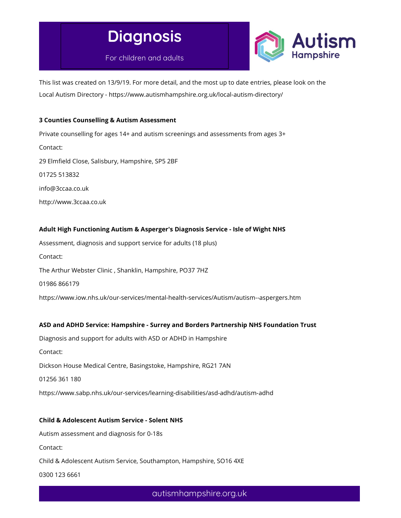

For children and adults



This list was created on 13/9/19. For more detail, and the most up to date entries, please look on the Local Autism Directory - https://www.autismhampshire.org.uk/local-autism-directory/

## 3 Counties Counselling & Autism Assessment

Private counselling for ages 14+ and autism screenings and assessments from ages 3+ Contact: 29 Elmfield Close, Salisbury, Hampshire, SP5 2BF 01725 513832 info@3ccaa.co.uk http://www.3ccaa.co.uk

# Adult High Functioning Autism & Asperger's Diagnosis Service - Isle of Wight NHS

Assessment, diagnosis and support service for adults (18 plus) Contact:

The Arthur Webster Clinic , Shanklin, Hampshire, PO37 7HZ

01986 866179

https://www.iow.nhs.uk/our-services/mental-health-services/Autism/autism--aspergers.htm

### ASD and ADHD Service: Hampshire - Surrey and Borders Partnership NHS Foundation Trust

Diagnosis and support for adults with ASD or ADHD in Hampshire

Contact:

Dickson House Medical Centre, Basingstoke, Hampshire, RG21 7AN

01256 361 180

https://www.sabp.nhs.uk/our-services/learning-disabilities/asd-adhd/autism-adhd

### Child & Adolescent Autism Service - Solent NHS

Autism assessment and diagnosis for 0-18s

Contact:

Child & Adolescent Autism Service, Southampton, Hampshire, SO16 4XE

0300 123 6661

autismhampshire.org.uk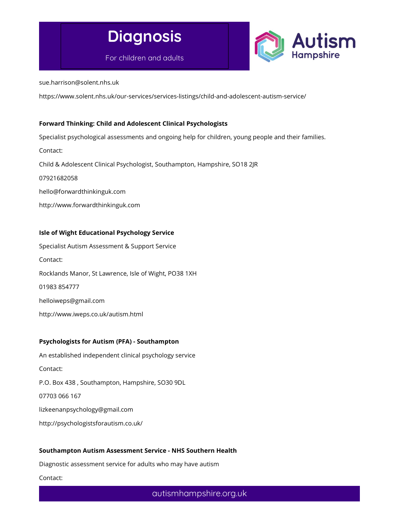

For children and adults



sue.harrison@solent.nhs.uk

https://www.solent.nhs.uk/our-services/services-listings/child-and-adolescent-autism-service/

### Forward Thinking: Child and Adolescent Clinical Psychologists

Specialist psychological assessments and ongoing help for children, young people and their families. Contact: Child & Adolescent Clinical Psychologist, Southampton, Hampshire, SO18 2JR 07921682058 hello@forwardthinkinguk.com http://www.forwardthinkinguk.com

# Isle of Wight Educational Psychology Service

Specialist Autism Assessment & Support Service Contact: Rocklands Manor, St Lawrence, Isle of Wight, PO38 1XH 01983 854777 helloiweps@gmail.com

http://www.iweps.co.uk/autism.html

#### Psychologists for Autism (PFA) - Southampton

An established independent clinical psychology service Contact: P.O. Box 438 , Southampton, Hampshire, SO30 9DL 07703 066 167 lizkeenanpsychology@gmail.com http://psychologistsforautism.co.uk/

#### Southampton Autism Assessment Service - NHS Southern Health

Diagnostic assessment service for adults who may have autism

Contact: